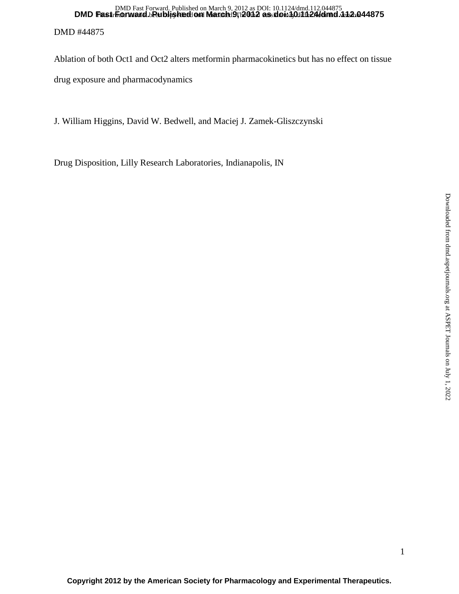# DMD #44875 DMD Fast Forward. Published on March 9;12011 as doi:10.11124/dmd. 112.044875 DMD Fast Forward. Published on March 9, 2012 as DOI: 10.1124/dmd.112.044875

Ablation of both Oct1 and Oct2 alters metformin pharmacokinetics but has no effect on tissue drug exposure and pharmacodynamics

J. William Higgins, David W. Bedwell, and Maciej J. Zamek-Gliszczynski

Drug Disposition, Lilly Research Laboratories, Indianapolis, IN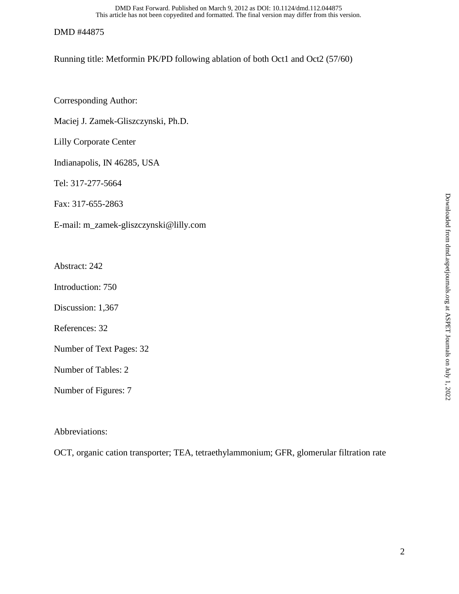This article has not been copyedited and formatted. The final version may differ from this version. DMD Fast Forward. Published on March 9, 2012 as DOI: 10.1124/dmd.112.044875

### DMD #44875

Running title: Metformin PK/PD following ablation of both Oct1 and Oct2 (57/60)

Corresponding Author:

Maciej J. Zamek-Gliszczynski, Ph.D.

Lilly Corporate Center

Indianapolis, IN 46285, USA

Tel: 317-277-5664

Fax: 317-655-2863

E-mail: m\_zamek-gliszczynski@lilly.com

Abstract: 242

Introduction: 750

Discussion: 1,367

References: 32

Number of Text Pages: 32

Number of Tables: 2

Number of Figures: 7

Abbreviations:

OCT, organic cation transporter; TEA, tetraethylammonium; GFR, glomerular filtration rate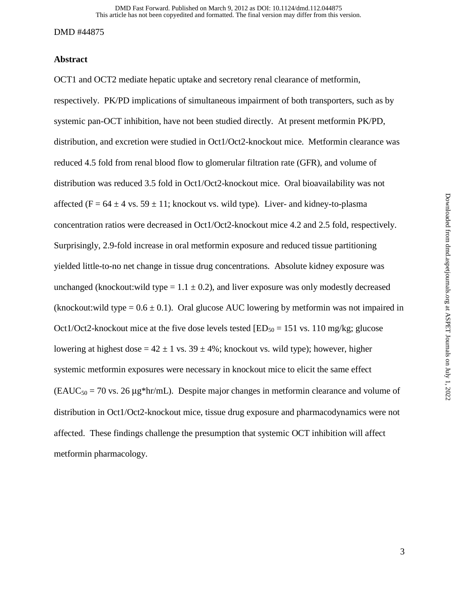### **Abstract**

OCT1 and OCT2 mediate hepatic uptake and secretory renal clearance of metformin, respectively. PK/PD implications of simultaneous impairment of both transporters, such as by systemic pan-OCT inhibition, have not been studied directly. At present metformin PK/PD, distribution, and excretion were studied in Oct1/Oct2-knockout mice. Metformin clearance was reduced 4.5 fold from renal blood flow to glomerular filtration rate (GFR), and volume of distribution was reduced 3.5 fold in Oct1/Oct2-knockout mice. Oral bioavailability was not affected (F =  $64 \pm 4$  vs.  $59 \pm 11$ ; knockout vs. wild type). Liver- and kidney-to-plasma concentration ratios were decreased in Oct1/Oct2-knockout mice 4.2 and 2.5 fold, respectively. Surprisingly, 2.9-fold increase in oral metformin exposure and reduced tissue partitioning yielded little-to-no net change in tissue drug concentrations. Absolute kidney exposure was unchanged (knockout:wild type =  $1.1 \pm 0.2$ ), and liver exposure was only modestly decreased (knockout:wild type =  $0.6 \pm 0.1$ ). Oral glucose AUC lowering by metformin was not impaired in Oct1/Oct2-knockout mice at the five dose levels tested  $[ED_{50} = 151$  vs. 110 mg/kg; glucose lowering at highest dose =  $42 \pm 1$  vs.  $39 \pm 4$ %; knockout vs. wild type); however, higher systemic metformin exposures were necessary in knockout mice to elicit the same effect  $(EAUC_{50} = 70 \text{ vs. } 26 \mu\text{g}^*$ hr/mL). Despite major changes in metformin clearance and volume of distribution in Oct1/Oct2-knockout mice, tissue drug exposure and pharmacodynamics were not affected. These findings challenge the presumption that systemic OCT inhibition will affect metformin pharmacology.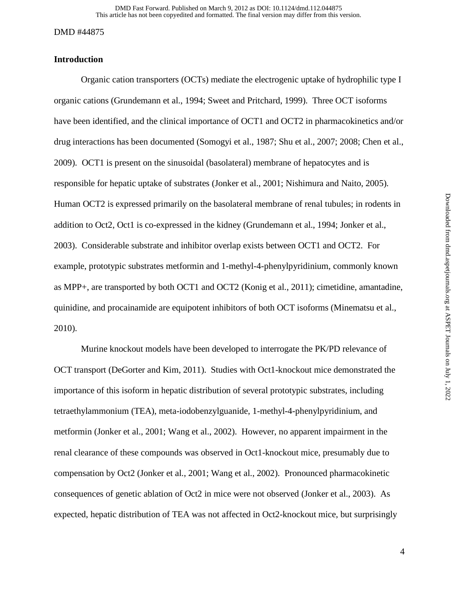# **Introduction**

Organic cation transporters (OCTs) mediate the electrogenic uptake of hydrophilic type I organic cations (Grundemann et al., 1994; Sweet and Pritchard, 1999). Three OCT isoforms have been identified, and the clinical importance of OCT1 and OCT2 in pharmacokinetics and/or drug interactions has been documented (Somogyi et al., 1987; Shu et al., 2007; 2008; Chen et al., 2009). OCT1 is present on the sinusoidal (basolateral) membrane of hepatocytes and is responsible for hepatic uptake of substrates (Jonker et al., 2001; Nishimura and Naito, 2005). Human OCT2 is expressed primarily on the basolateral membrane of renal tubules; in rodents in addition to Oct2, Oct1 is co-expressed in the kidney (Grundemann et al., 1994; Jonker et al., 2003). Considerable substrate and inhibitor overlap exists between OCT1 and OCT2. For example, prototypic substrates metformin and 1-methyl-4-phenylpyridinium, commonly known as MPP+, are transported by both OCT1 and OCT2 (Konig et al., 2011); cimetidine, amantadine, quinidine, and procainamide are equipotent inhibitors of both OCT isoforms (Minematsu et al., 2010).

Murine knockout models have been developed to interrogate the PK/PD relevance of OCT transport (DeGorter and Kim, 2011). Studies with Oct1-knockout mice demonstrated the importance of this isoform in hepatic distribution of several prototypic substrates, including tetraethylammonium (TEA), meta-iodobenzylguanide, 1-methyl-4-phenylpyridinium, and metformin (Jonker et al., 2001; Wang et al., 2002). However, no apparent impairment in the renal clearance of these compounds was observed in Oct1-knockout mice, presumably due to compensation by Oct2 (Jonker et al., 2001; Wang et al., 2002). Pronounced pharmacokinetic consequences of genetic ablation of Oct2 in mice were not observed (Jonker et al., 2003). As expected, hepatic distribution of TEA was not affected in Oct2-knockout mice, but surprisingly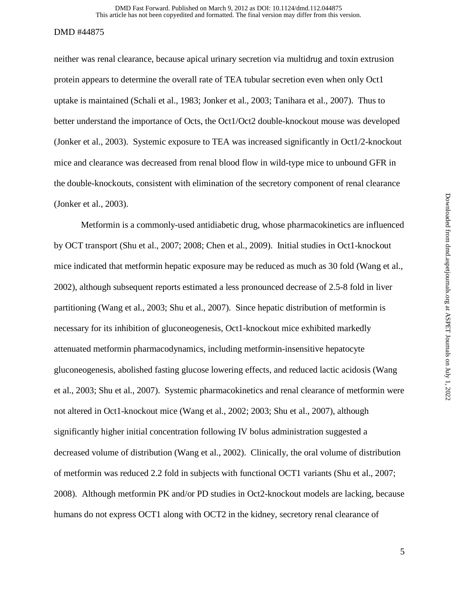neither was renal clearance, because apical urinary secretion via multidrug and toxin extrusion protein appears to determine the overall rate of TEA tubular secretion even when only Oct1 uptake is maintained (Schali et al., 1983; Jonker et al., 2003; Tanihara et al., 2007). Thus to better understand the importance of Octs, the Oct1/Oct2 double-knockout mouse was developed (Jonker et al., 2003). Systemic exposure to TEA was increased significantly in Oct1/2-knockout mice and clearance was decreased from renal blood flow in wild-type mice to unbound GFR in the double-knockouts, consistent with elimination of the secretory component of renal clearance (Jonker et al., 2003).

Metformin is a commonly-used antidiabetic drug, whose pharmacokinetics are influenced by OCT transport (Shu et al., 2007; 2008; Chen et al., 2009). Initial studies in Oct1-knockout mice indicated that metformin hepatic exposure may be reduced as much as 30 fold (Wang et al., 2002), although subsequent reports estimated a less pronounced decrease of 2.5-8 fold in liver partitioning (Wang et al., 2003; Shu et al., 2007). Since hepatic distribution of metformin is necessary for its inhibition of gluconeogenesis, Oct1-knockout mice exhibited markedly attenuated metformin pharmacodynamics, including metformin-insensitive hepatocyte gluconeogenesis, abolished fasting glucose lowering effects, and reduced lactic acidosis (Wang et al., 2003; Shu et al., 2007). Systemic pharmacokinetics and renal clearance of metformin were not altered in Oct1-knockout mice (Wang et al., 2002; 2003; Shu et al., 2007), although significantly higher initial concentration following IV bolus administration suggested a decreased volume of distribution (Wang et al., 2002). Clinically, the oral volume of distribution of metformin was reduced 2.2 fold in subjects with functional OCT1 variants (Shu et al., 2007; 2008). Although metformin PK and/or PD studies in Oct2-knockout models are lacking, because humans do not express OCT1 along with OCT2 in the kidney, secretory renal clearance of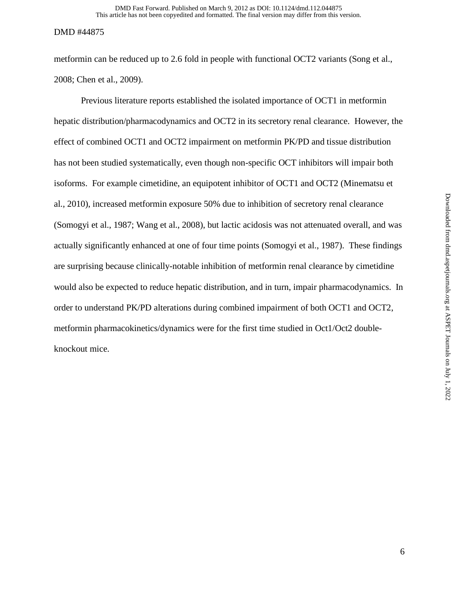metformin can be reduced up to 2.6 fold in people with functional OCT2 variants (Song et al., 2008; Chen et al., 2009).

 Previous literature reports established the isolated importance of OCT1 in metformin hepatic distribution/pharmacodynamics and OCT2 in its secretory renal clearance. However, the effect of combined OCT1 and OCT2 impairment on metformin PK/PD and tissue distribution has not been studied systematically, even though non-specific OCT inhibitors will impair both isoforms. For example cimetidine, an equipotent inhibitor of OCT1 and OCT2 (Minematsu et al., 2010), increased metformin exposure 50% due to inhibition of secretory renal clearance (Somogyi et al., 1987; Wang et al., 2008), but lactic acidosis was not attenuated overall, and was actually significantly enhanced at one of four time points (Somogyi et al., 1987). These findings are surprising because clinically-notable inhibition of metformin renal clearance by cimetidine would also be expected to reduce hepatic distribution, and in turn, impair pharmacodynamics. In order to understand PK/PD alterations during combined impairment of both OCT1 and OCT2, metformin pharmacokinetics/dynamics were for the first time studied in Oct1/Oct2 doubleknockout mice.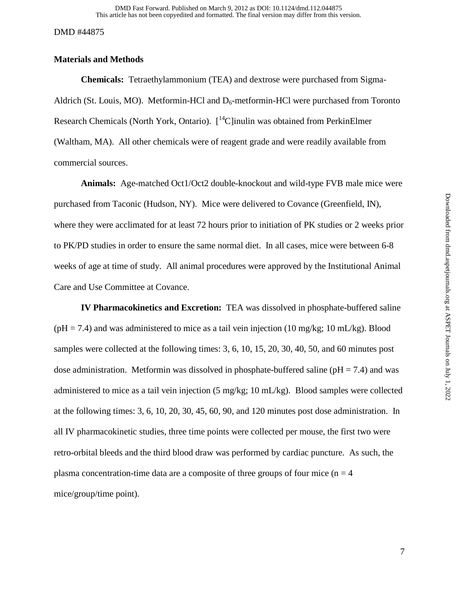# **Materials and Methods**

**Chemicals:** Tetraethylammonium (TEA) and dextrose were purchased from Sigma-Aldrich (St. Louis, MO). Metformin-HCl and  $D_6$ -metformin-HCl were purchased from Toronto Research Chemicals (North York, Ontario).  $\int_{0}^{14}$ C]inulin was obtained from PerkinElmer (Waltham, MA). All other chemicals were of reagent grade and were readily available from commercial sources.

**Animals:** Age-matched Oct1/Oct2 double-knockout and wild-type FVB male mice were purchased from Taconic (Hudson, NY). Mice were delivered to Covance (Greenfield, IN), where they were acclimated for at least 72 hours prior to initiation of PK studies or 2 weeks prior to PK/PD studies in order to ensure the same normal diet. In all cases, mice were between 6-8 weeks of age at time of study. All animal procedures were approved by the Institutional Animal Care and Use Committee at Covance.

 **IV Pharmacokinetics and Excretion:** TEA was dissolved in phosphate-buffered saline  $(pH = 7.4)$  and was administered to mice as a tail vein injection (10 mg/kg; 10 mL/kg). Blood samples were collected at the following times: 3, 6, 10, 15, 20, 30, 40, 50, and 60 minutes post dose administration. Metformin was dissolved in phosphate-buffered saline ( $pH = 7.4$ ) and was administered to mice as a tail vein injection (5 mg/kg; 10 mL/kg). Blood samples were collected at the following times: 3, 6, 10, 20, 30, 45, 60, 90, and 120 minutes post dose administration. In all IV pharmacokinetic studies, three time points were collected per mouse, the first two were retro-orbital bleeds and the third blood draw was performed by cardiac puncture. As such, the plasma concentration-time data are a composite of three groups of four mice ( $n = 4$ ) mice/group/time point).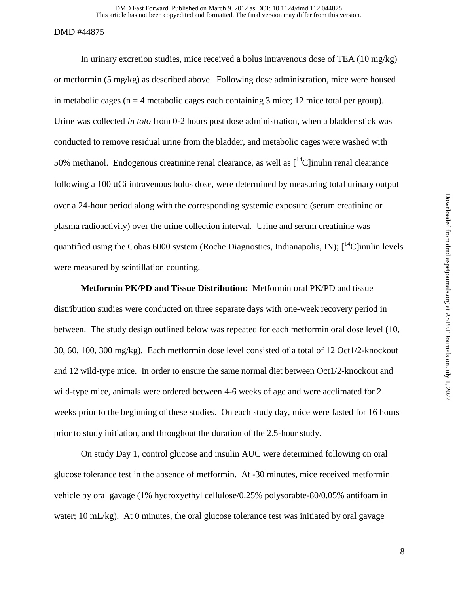This article has not been copyedited and formatted. The final version may differ from this version. DMD Fast Forward. Published on March 9, 2012 as DOI: 10.1124/dmd.112.044875

#### DMD #44875

In urinary excretion studies, mice received a bolus intravenous dose of TEA  $(10 \text{ mg/kg})$ or metformin (5 mg/kg) as described above. Following dose administration, mice were housed in metabolic cages ( $n = 4$  metabolic cages each containing 3 mice; 12 mice total per group). Urine was collected *in toto* from 0-2 hours post dose administration, when a bladder stick was conducted to remove residual urine from the bladder, and metabolic cages were washed with 50% methanol. Endogenous creatinine renal clearance, as well as  $\int^{14}C$  inulin renal clearance following a 100 μCi intravenous bolus dose, were determined by measuring total urinary output over a 24-hour period along with the corresponding systemic exposure (serum creatinine or plasma radioactivity) over the urine collection interval. Urine and serum creatinine was quantified using the Cobas 6000 system (Roche Diagnostics, Indianapolis, IN);  $\int_1^{14}$ C linulin levels were measured by scintillation counting.

**Metformin PK/PD and Tissue Distribution:** Metformin oral PK/PD and tissue distribution studies were conducted on three separate days with one-week recovery period in between. The study design outlined below was repeated for each metformin oral dose level (10, 30, 60, 100, 300 mg/kg). Each metformin dose level consisted of a total of 12 Oct1/2-knockout and 12 wild-type mice. In order to ensure the same normal diet between Oct1/2-knockout and wild-type mice, animals were ordered between 4-6 weeks of age and were acclimated for 2 weeks prior to the beginning of these studies. On each study day, mice were fasted for 16 hours prior to study initiation, and throughout the duration of the 2.5-hour study.

On study Day 1, control glucose and insulin AUC were determined following on oral glucose tolerance test in the absence of metformin. At -30 minutes, mice received metformin vehicle by oral gavage (1% hydroxyethyl cellulose/0.25% polysorabte-80/0.05% antifoam in water; 10 mL/kg). At 0 minutes, the oral glucose tolerance test was initiated by oral gavage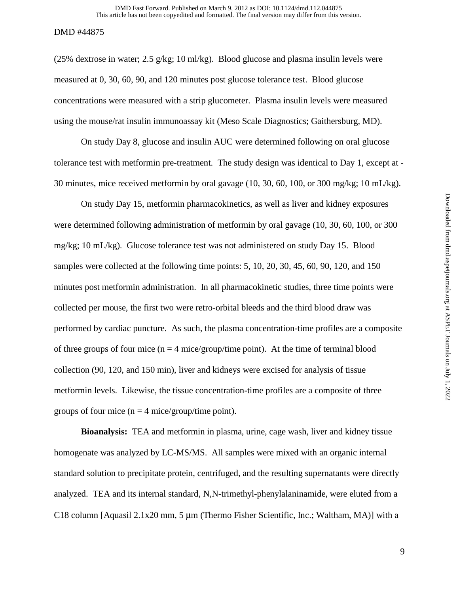(25% dextrose in water; 2.5 g/kg; 10 ml/kg). Blood glucose and plasma insulin levels were measured at 0, 30, 60, 90, and 120 minutes post glucose tolerance test. Blood glucose concentrations were measured with a strip glucometer. Plasma insulin levels were measured using the mouse/rat insulin immunoassay kit (Meso Scale Diagnostics; Gaithersburg, MD).

On study Day 8, glucose and insulin AUC were determined following on oral glucose tolerance test with metformin pre-treatment. The study design was identical to Day 1, except at - 30 minutes, mice received metformin by oral gavage (10, 30, 60, 100, or 300 mg/kg; 10 mL/kg).

On study Day 15, metformin pharmacokinetics, as well as liver and kidney exposures were determined following administration of metformin by oral gavage (10, 30, 60, 100, or 300 mg/kg; 10 mL/kg). Glucose tolerance test was not administered on study Day 15. Blood samples were collected at the following time points: 5, 10, 20, 30, 45, 60, 90, 120, and 150 minutes post metformin administration. In all pharmacokinetic studies, three time points were collected per mouse, the first two were retro-orbital bleeds and the third blood draw was performed by cardiac puncture. As such, the plasma concentration-time profiles are a composite of three groups of four mice ( $n = 4$  mice/group/time point). At the time of terminal blood collection (90, 120, and 150 min), liver and kidneys were excised for analysis of tissue metformin levels. Likewise, the tissue concentration-time profiles are a composite of three groups of four mice  $(n = 4$  mice/group/time point).

**Bioanalysis:** TEA and metformin in plasma, urine, cage wash, liver and kidney tissue homogenate was analyzed by LC-MS/MS. All samples were mixed with an organic internal standard solution to precipitate protein, centrifuged, and the resulting supernatants were directly analyzed. TEA and its internal standard, N,N-trimethyl-phenylalaninamide, were eluted from a C18 column [Aquasil 2.1x20 mm, 5 μm (Thermo Fisher Scientific, Inc.; Waltham, MA)] with a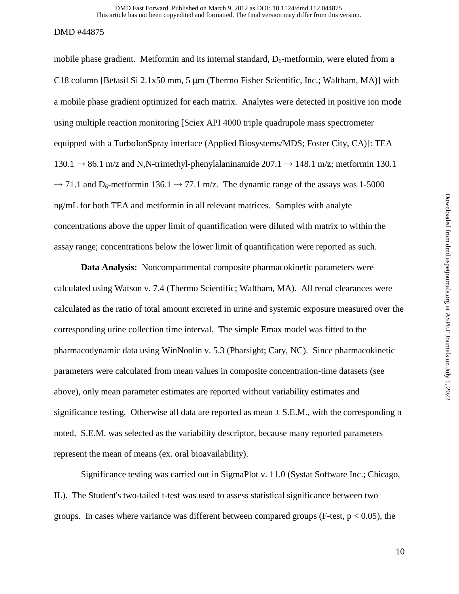mobile phase gradient. Metformin and its internal standard,  $D_6$ -metformin, were eluted from a C18 column [Betasil Si 2.1x50 mm, 5 μm (Thermo Fisher Scientific, Inc.; Waltham, MA)] with a mobile phase gradient optimized for each matrix. Analytes were detected in positive ion mode using multiple reaction monitoring [Sciex API 4000 triple quadrupole mass spectrometer equipped with a TurboIonSpray interface (Applied Biosystems/MDS; Foster City, CA)]: TEA  $130.1 \rightarrow 86.1$  m/z and N,N-trimethyl-phenylalaninamide  $207.1 \rightarrow 148.1$  m/z; metformin 130.1  $\rightarrow$  71.1 and D<sub>6</sub>-metformin 136.1  $\rightarrow$  77.1 m/z. The dynamic range of the assays was 1-5000 ng/mL for both TEA and metformin in all relevant matrices. Samples with analyte concentrations above the upper limit of quantification were diluted with matrix to within the assay range; concentrations below the lower limit of quantification were reported as such.

**Data Analysis:** Noncompartmental composite pharmacokinetic parameters were calculated using Watson v. 7.4 (Thermo Scientific; Waltham, MA). All renal clearances were calculated as the ratio of total amount excreted in urine and systemic exposure measured over the corresponding urine collection time interval. The simple Emax model was fitted to the pharmacodynamic data using WinNonlin v. 5.3 (Pharsight; Cary, NC). Since pharmacokinetic parameters were calculated from mean values in composite concentration-time datasets (see above), only mean parameter estimates are reported without variability estimates and significance testing. Otherwise all data are reported as mean  $\pm$  S.E.M., with the corresponding n noted. S.E.M. was selected as the variability descriptor, because many reported parameters represent the mean of means (ex. oral bioavailability).

Significance testing was carried out in SigmaPlot v. 11.0 (Systat Software Inc.; Chicago, IL). The Student's two-tailed t-test was used to assess statistical significance between two groups. In cases where variance was different between compared groups (F-test,  $p < 0.05$ ), the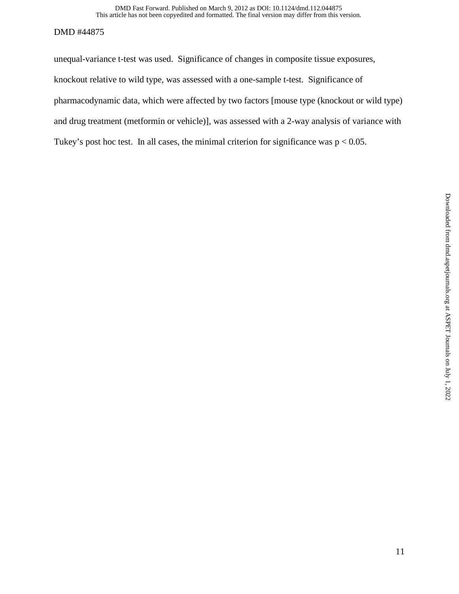This article has not been copyedited and formatted. The final version may differ from this version. DMD Fast Forward. Published on March 9, 2012 as DOI: 10.1124/dmd.112.044875

### DMD #44875

unequal-variance t-test was used. Significance of changes in composite tissue exposures, knockout relative to wild type, was assessed with a one-sample t-test. Significance of pharmacodynamic data, which were affected by two factors [mouse type (knockout or wild type) and drug treatment (metformin or vehicle)], was assessed with a 2-way analysis of variance with Tukey's post hoc test. In all cases, the minimal criterion for significance was  $p < 0.05$ .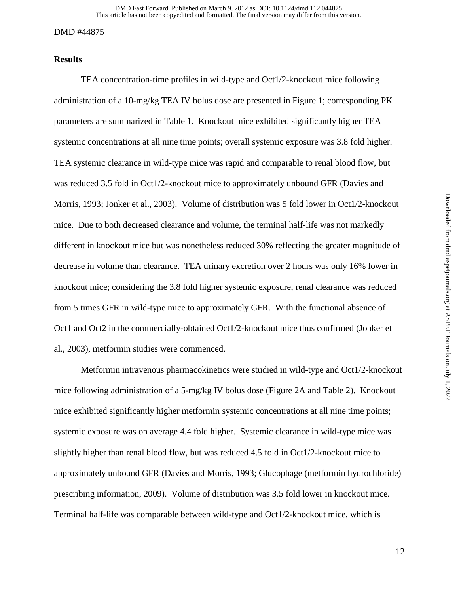# **Results**

 TEA concentration-time profiles in wild-type and Oct1/2-knockout mice following administration of a 10-mg/kg TEA IV bolus dose are presented in Figure 1; corresponding PK parameters are summarized in Table 1. Knockout mice exhibited significantly higher TEA systemic concentrations at all nine time points; overall systemic exposure was 3.8 fold higher. TEA systemic clearance in wild-type mice was rapid and comparable to renal blood flow, but was reduced 3.5 fold in Oct1/2-knockout mice to approximately unbound GFR (Davies and Morris, 1993; Jonker et al., 2003). Volume of distribution was 5 fold lower in Oct1/2-knockout mice. Due to both decreased clearance and volume, the terminal half-life was not markedly different in knockout mice but was nonetheless reduced 30% reflecting the greater magnitude of decrease in volume than clearance. TEA urinary excretion over 2 hours was only 16% lower in knockout mice; considering the 3.8 fold higher systemic exposure, renal clearance was reduced from 5 times GFR in wild-type mice to approximately GFR. With the functional absence of Oct1 and Oct2 in the commercially-obtained Oct1/2-knockout mice thus confirmed (Jonker et al., 2003), metformin studies were commenced.

 Metformin intravenous pharmacokinetics were studied in wild-type and Oct1/2-knockout mice following administration of a 5-mg/kg IV bolus dose (Figure 2A and Table 2). Knockout mice exhibited significantly higher metformin systemic concentrations at all nine time points; systemic exposure was on average 4.4 fold higher. Systemic clearance in wild-type mice was slightly higher than renal blood flow, but was reduced 4.5 fold in Oct1/2-knockout mice to approximately unbound GFR (Davies and Morris, 1993; Glucophage (metformin hydrochloride) prescribing information, 2009). Volume of distribution was 3.5 fold lower in knockout mice. Terminal half-life was comparable between wild-type and Oct1/2-knockout mice, which is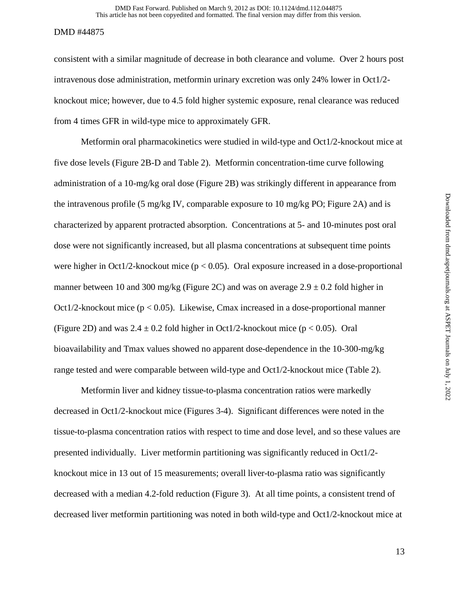consistent with a similar magnitude of decrease in both clearance and volume. Over 2 hours post intravenous dose administration, metformin urinary excretion was only 24% lower in Oct1/2 knockout mice; however, due to 4.5 fold higher systemic exposure, renal clearance was reduced from 4 times GFR in wild-type mice to approximately GFR.

Metformin oral pharmacokinetics were studied in wild-type and Oct1/2-knockout mice at five dose levels (Figure 2B-D and Table 2). Metformin concentration-time curve following administration of a 10-mg/kg oral dose (Figure 2B) was strikingly different in appearance from the intravenous profile (5 mg/kg IV, comparable exposure to 10 mg/kg PO; Figure 2A) and is characterized by apparent protracted absorption. Concentrations at 5- and 10-minutes post oral dose were not significantly increased, but all plasma concentrations at subsequent time points were higher in Oct1/2-knockout mice ( $p < 0.05$ ). Oral exposure increased in a dose-proportional manner between 10 and 300 mg/kg (Figure 2C) and was on average  $2.9 \pm 0.2$  fold higher in Oct1/2-knockout mice ( $p < 0.05$ ). Likewise, Cmax increased in a dose-proportional manner (Figure 2D) and was  $2.4 \pm 0.2$  fold higher in Oct1/2-knockout mice (p < 0.05). Oral bioavailability and Tmax values showed no apparent dose-dependence in the 10-300-mg/kg range tested and were comparable between wild-type and Oct1/2-knockout mice (Table 2).

 Metformin liver and kidney tissue-to-plasma concentration ratios were markedly decreased in Oct1/2-knockout mice (Figures 3-4). Significant differences were noted in the tissue-to-plasma concentration ratios with respect to time and dose level, and so these values are presented individually. Liver metformin partitioning was significantly reduced in Oct1/2 knockout mice in 13 out of 15 measurements; overall liver-to-plasma ratio was significantly decreased with a median 4.2-fold reduction (Figure 3). At all time points, a consistent trend of decreased liver metformin partitioning was noted in both wild-type and Oct1/2-knockout mice at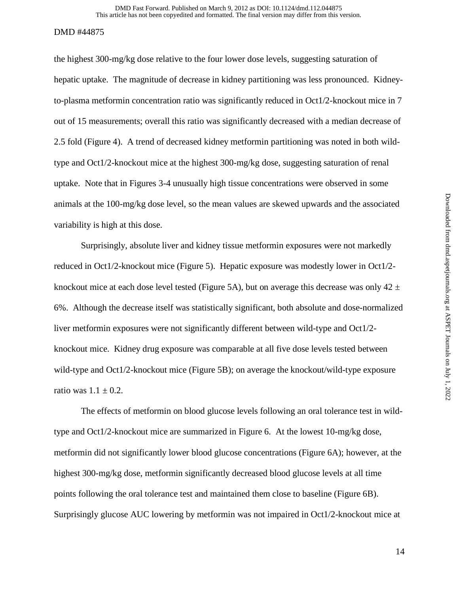the highest 300-mg/kg dose relative to the four lower dose levels, suggesting saturation of hepatic uptake. The magnitude of decrease in kidney partitioning was less pronounced. Kidneyto-plasma metformin concentration ratio was significantly reduced in Oct1/2-knockout mice in 7 out of 15 measurements; overall this ratio was significantly decreased with a median decrease of 2.5 fold (Figure 4). A trend of decreased kidney metformin partitioning was noted in both wildtype and Oct1/2-knockout mice at the highest 300-mg/kg dose, suggesting saturation of renal uptake. Note that in Figures 3-4 unusually high tissue concentrations were observed in some animals at the 100-mg/kg dose level, so the mean values are skewed upwards and the associated variability is high at this dose.

 Surprisingly, absolute liver and kidney tissue metformin exposures were not markedly reduced in Oct1/2-knockout mice (Figure 5). Hepatic exposure was modestly lower in Oct1/2 knockout mice at each dose level tested (Figure 5A), but on average this decrease was only 42  $\pm$ 6%. Although the decrease itself was statistically significant, both absolute and dose-normalized liver metformin exposures were not significantly different between wild-type and Oct1/2 knockout mice. Kidney drug exposure was comparable at all five dose levels tested between wild-type and Oct1/2-knockout mice (Figure 5B); on average the knockout/wild-type exposure ratio was  $1.1 \pm 0.2$ .

 The effects of metformin on blood glucose levels following an oral tolerance test in wildtype and Oct1/2-knockout mice are summarized in Figure 6. At the lowest 10-mg/kg dose, metformin did not significantly lower blood glucose concentrations (Figure 6A); however, at the highest 300-mg/kg dose, metformin significantly decreased blood glucose levels at all time points following the oral tolerance test and maintained them close to baseline (Figure 6B). Surprisingly glucose AUC lowering by metformin was not impaired in Oct1/2-knockout mice at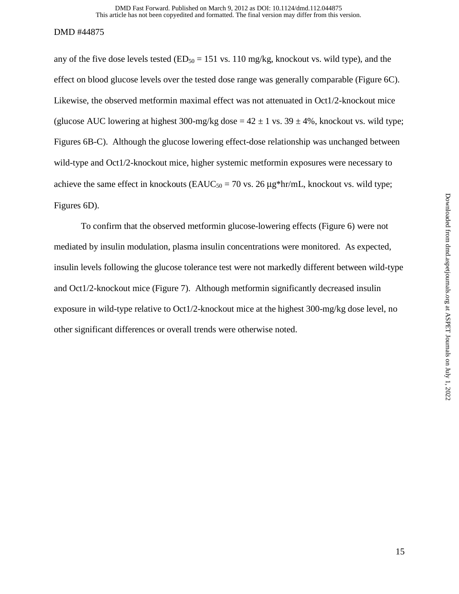any of the five dose levels tested  $(ED<sub>50</sub> = 151 \text{ vs. } 110 \text{ mg/kg}, \text{knockout vs. wild type}),$  and the effect on blood glucose levels over the tested dose range was generally comparable (Figure 6C). Likewise, the observed metformin maximal effect was not attenuated in Oct1/2-knockout mice (glucose AUC lowering at highest 300-mg/kg dose  $= 42 \pm 1$  vs. 39  $\pm 4\%$ , knockout vs. wild type; Figures 6B-C). Although the glucose lowering effect-dose relationship was unchanged between wild-type and Oct1/2-knockout mice, higher systemic metformin exposures were necessary to achieve the same effect in knockouts ( $E A U C_{50} = 70$  vs. 26  $\mu$ g\*hr/mL, knockout vs. wild type; Figures 6D).

 To confirm that the observed metformin glucose-lowering effects (Figure 6) were not mediated by insulin modulation, plasma insulin concentrations were monitored. As expected, insulin levels following the glucose tolerance test were not markedly different between wild-type and Oct1/2-knockout mice (Figure 7). Although metformin significantly decreased insulin exposure in wild-type relative to Oct1/2-knockout mice at the highest 300-mg/kg dose level, no other significant differences or overall trends were otherwise noted.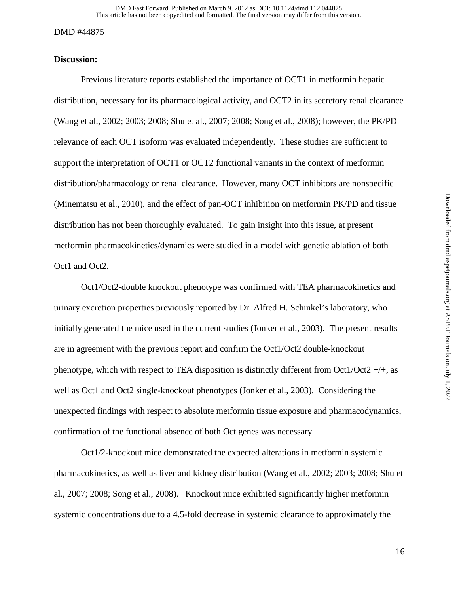# **Discussion:**

 Previous literature reports established the importance of OCT1 in metformin hepatic distribution, necessary for its pharmacological activity, and OCT2 in its secretory renal clearance (Wang et al., 2002; 2003; 2008; Shu et al., 2007; 2008; Song et al., 2008); however, the PK/PD relevance of each OCT isoform was evaluated independently. These studies are sufficient to support the interpretation of OCT1 or OCT2 functional variants in the context of metformin distribution/pharmacology or renal clearance. However, many OCT inhibitors are nonspecific (Minematsu et al., 2010), and the effect of pan-OCT inhibition on metformin PK/PD and tissue distribution has not been thoroughly evaluated. To gain insight into this issue, at present metformin pharmacokinetics/dynamics were studied in a model with genetic ablation of both Oct1 and Oct2.

 Oct1/Oct2-double knockout phenotype was confirmed with TEA pharmacokinetics and urinary excretion properties previously reported by Dr. Alfred H. Schinkel's laboratory, who initially generated the mice used in the current studies (Jonker et al., 2003). The present results are in agreement with the previous report and confirm the Oct1/Oct2 double-knockout phenotype, which with respect to TEA disposition is distinctly different from Oct1/Oct2  $+/+$ , as well as Oct1 and Oct2 single-knockout phenotypes (Jonker et al., 2003). Considering the unexpected findings with respect to absolute metformin tissue exposure and pharmacodynamics, confirmation of the functional absence of both Oct genes was necessary.

 Oct1/2-knockout mice demonstrated the expected alterations in metformin systemic pharmacokinetics, as well as liver and kidney distribution (Wang et al., 2002; 2003; 2008; Shu et al., 2007; 2008; Song et al., 2008). Knockout mice exhibited significantly higher metformin systemic concentrations due to a 4.5-fold decrease in systemic clearance to approximately the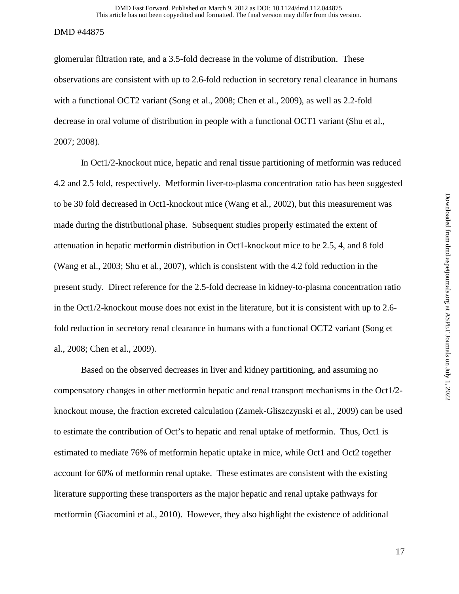glomerular filtration rate, and a 3.5-fold decrease in the volume of distribution. These observations are consistent with up to 2.6-fold reduction in secretory renal clearance in humans with a functional OCT2 variant (Song et al., 2008; Chen et al., 2009), as well as 2.2-fold decrease in oral volume of distribution in people with a functional OCT1 variant (Shu et al., 2007; 2008).

 In Oct1/2-knockout mice, hepatic and renal tissue partitioning of metformin was reduced 4.2 and 2.5 fold, respectively. Metformin liver-to-plasma concentration ratio has been suggested to be 30 fold decreased in Oct1-knockout mice (Wang et al., 2002), but this measurement was made during the distributional phase. Subsequent studies properly estimated the extent of attenuation in hepatic metformin distribution in Oct1-knockout mice to be 2.5, 4, and 8 fold (Wang et al., 2003; Shu et al., 2007), which is consistent with the 4.2 fold reduction in the present study. Direct reference for the 2.5-fold decrease in kidney-to-plasma concentration ratio in the Oct1/2-knockout mouse does not exist in the literature, but it is consistent with up to 2.6 fold reduction in secretory renal clearance in humans with a functional OCT2 variant (Song et al., 2008; Chen et al., 2009).

 Based on the observed decreases in liver and kidney partitioning, and assuming no compensatory changes in other metformin hepatic and renal transport mechanisms in the Oct1/2 knockout mouse, the fraction excreted calculation (Zamek-Gliszczynski et al., 2009) can be used to estimate the contribution of Oct's to hepatic and renal uptake of metformin. Thus, Oct1 is estimated to mediate 76% of metformin hepatic uptake in mice, while Oct1 and Oct2 together account for 60% of metformin renal uptake. These estimates are consistent with the existing literature supporting these transporters as the major hepatic and renal uptake pathways for metformin (Giacomini et al., 2010). However, they also highlight the existence of additional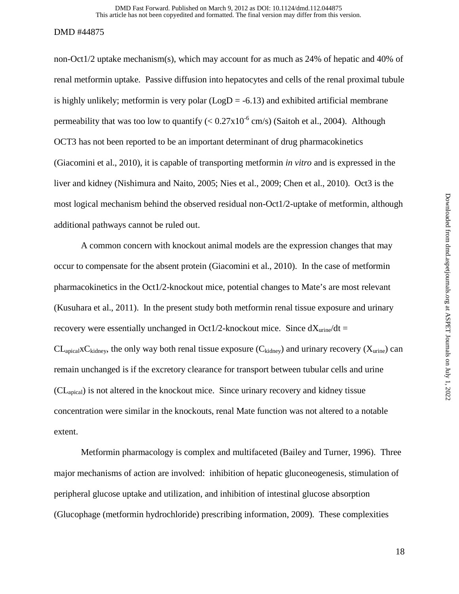non-Oct1/2 uptake mechanism(s), which may account for as much as 24% of hepatic and 40% of renal metformin uptake. Passive diffusion into hepatocytes and cells of the renal proximal tubule is highly unlikely; metformin is very polar  $(LogD = -6.13)$  and exhibited artificial membrane permeability that was too low to quantify  $(< 0.27 \times 10^{-6}$  cm/s) (Saitoh et al., 2004). Although OCT3 has not been reported to be an important determinant of drug pharmacokinetics (Giacomini et al., 2010), it is capable of transporting metformin *in vitro* and is expressed in the liver and kidney (Nishimura and Naito, 2005; Nies et al., 2009; Chen et al., 2010). Oct3 is the most logical mechanism behind the observed residual non-Oct1/2-uptake of metformin, although additional pathways cannot be ruled out.

 A common concern with knockout animal models are the expression changes that may occur to compensate for the absent protein (Giacomini et al., 2010). In the case of metformin pharmacokinetics in the Oct1/2-knockout mice, potential changes to Mate's are most relevant (Kusuhara et al., 2011). In the present study both metformin renal tissue exposure and urinary recovery were essentially unchanged in Oct1/2-knockout mice. Since  $dX_{\text{urine}}/dt =$  $CL_{\text{adial}} \times C_{\text{kidney}}$ , the only way both renal tissue exposure  $(C_{\text{kidney}})$  and urinary recovery  $(X_{\text{urine}})$  can remain unchanged is if the excretory clearance for transport between tubular cells and urine (CLapical) is not altered in the knockout mice. Since urinary recovery and kidney tissue concentration were similar in the knockouts, renal Mate function was not altered to a notable extent.

 Metformin pharmacology is complex and multifaceted (Bailey and Turner, 1996). Three major mechanisms of action are involved: inhibition of hepatic gluconeogenesis, stimulation of peripheral glucose uptake and utilization, and inhibition of intestinal glucose absorption (Glucophage (metformin hydrochloride) prescribing information, 2009). These complexities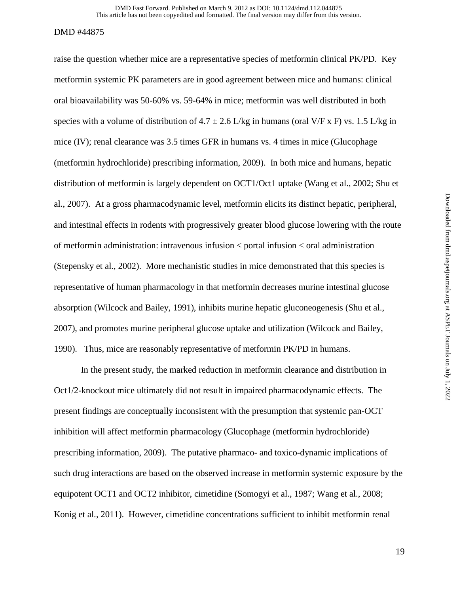raise the question whether mice are a representative species of metformin clinical PK/PD. Key metformin systemic PK parameters are in good agreement between mice and humans: clinical oral bioavailability was 50-60% vs. 59-64% in mice; metformin was well distributed in both species with a volume of distribution of  $4.7 \pm 2.6$  L/kg in humans (oral V/F x F) vs. 1.5 L/kg in mice (IV); renal clearance was 3.5 times GFR in humans vs. 4 times in mice (Glucophage (metformin hydrochloride) prescribing information, 2009). In both mice and humans, hepatic distribution of metformin is largely dependent on OCT1/Oct1 uptake (Wang et al., 2002; Shu et al., 2007). At a gross pharmacodynamic level, metformin elicits its distinct hepatic, peripheral, and intestinal effects in rodents with progressively greater blood glucose lowering with the route of metformin administration: intravenous infusion < portal infusion < oral administration (Stepensky et al., 2002). More mechanistic studies in mice demonstrated that this species is representative of human pharmacology in that metformin decreases murine intestinal glucose absorption (Wilcock and Bailey, 1991), inhibits murine hepatic gluconeogenesis (Shu et al., 2007), and promotes murine peripheral glucose uptake and utilization (Wilcock and Bailey, 1990). Thus, mice are reasonably representative of metformin PK/PD in humans.

In the present study, the marked reduction in metformin clearance and distribution in Oct1/2-knockout mice ultimately did not result in impaired pharmacodynamic effects. The present findings are conceptually inconsistent with the presumption that systemic pan-OCT inhibition will affect metformin pharmacology (Glucophage (metformin hydrochloride) prescribing information, 2009). The putative pharmaco- and toxico-dynamic implications of such drug interactions are based on the observed increase in metformin systemic exposure by the equipotent OCT1 and OCT2 inhibitor, cimetidine (Somogyi et al., 1987; Wang et al., 2008; Konig et al., 2011). However, cimetidine concentrations sufficient to inhibit metformin renal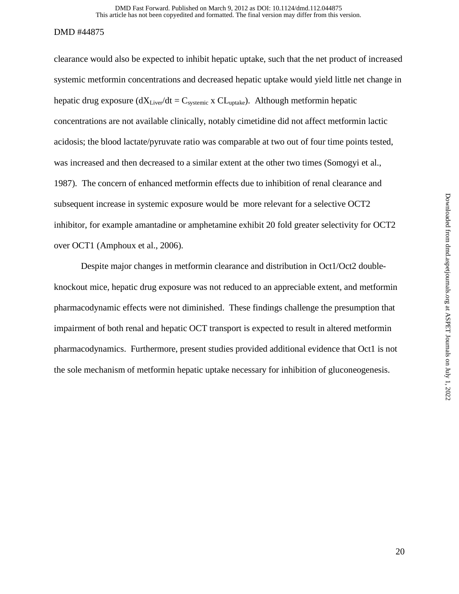clearance would also be expected to inhibit hepatic uptake, such that the net product of increased systemic metformin concentrations and decreased hepatic uptake would yield little net change in hepatic drug exposure  $(dX<sub>Liver</sub>/dt = C<sub>systemic</sub> x CL<sub>update</sub>)$ . Although metformin hepatic concentrations are not available clinically, notably cimetidine did not affect metformin lactic acidosis; the blood lactate/pyruvate ratio was comparable at two out of four time points tested, was increased and then decreased to a similar extent at the other two times (Somogyi et al., 1987). The concern of enhanced metformin effects due to inhibition of renal clearance and subsequent increase in systemic exposure would be more relevant for a selective OCT2 inhibitor, for example amantadine or amphetamine exhibit 20 fold greater selectivity for OCT2 over OCT1 (Amphoux et al., 2006).

 Despite major changes in metformin clearance and distribution in Oct1/Oct2 doubleknockout mice, hepatic drug exposure was not reduced to an appreciable extent, and metformin pharmacodynamic effects were not diminished. These findings challenge the presumption that impairment of both renal and hepatic OCT transport is expected to result in altered metformin pharmacodynamics. Furthermore, present studies provided additional evidence that Oct1 is not the sole mechanism of metformin hepatic uptake necessary for inhibition of gluconeogenesis.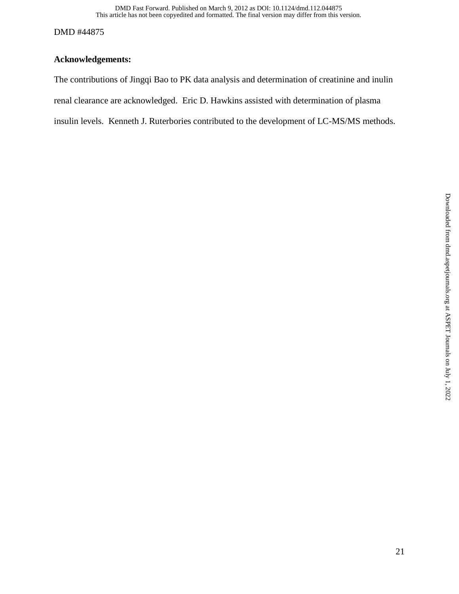# **Acknowledgements:**

The contributions of Jingqi Bao to PK data analysis and determination of creatinine and inulin renal clearance are acknowledged. Eric D. Hawkins assisted with determination of plasma insulin levels. Kenneth J. Ruterbories contributed to the development of LC-MS/MS methods.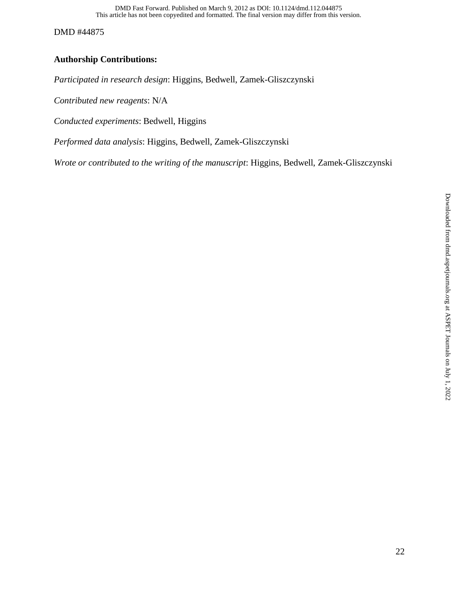This article has not been copyedited and formatted. The final version may differ from this version. DMD Fast Forward. Published on March 9, 2012 as DOI: 10.1124/dmd.112.044875

DMD #44875

# **Authorship Contributions:**

*Participated in research design*: Higgins, Bedwell, Zamek-Gliszczynski

*Contributed new reagents*: N/A

*Conducted experiments*: Bedwell, Higgins

*Performed data analysis*: Higgins, Bedwell, Zamek-Gliszczynski

*Wrote or contributed to the writing of the manuscript*: Higgins, Bedwell, Zamek-Gliszczynski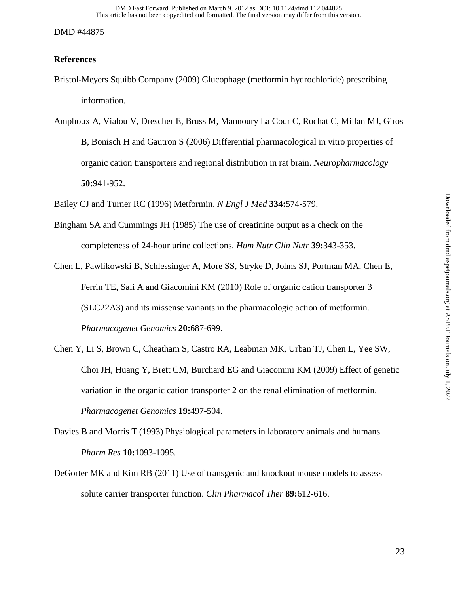# **References**

- Bristol-Meyers Squibb Company (2009) Glucophage (metformin hydrochloride) prescribing information.
- Amphoux A, Vialou V, Drescher E, Bruss M, Mannoury La Cour C, Rochat C, Millan MJ, Giros B, Bonisch H and Gautron S (2006) Differential pharmacological in vitro properties of organic cation transporters and regional distribution in rat brain. *Neuropharmacology* **50:**941-952.

Bailey CJ and Turner RC (1996) Metformin. *N Engl J Med* **334:**574-579.

- Bingham SA and Cummings JH (1985) The use of creatinine output as a check on the completeness of 24-hour urine collections. *Hum Nutr Clin Nutr* **39:**343-353.
- Chen L, Pawlikowski B, Schlessinger A, More SS, Stryke D, Johns SJ, Portman MA, Chen E, Ferrin TE, Sali A and Giacomini KM (2010) Role of organic cation transporter 3 (SLC22A3) and its missense variants in the pharmacologic action of metformin. *Pharmacogenet Genomics* **20:**687-699.
- Chen Y, Li S, Brown C, Cheatham S, Castro RA, Leabman MK, Urban TJ, Chen L, Yee SW, Choi JH, Huang Y, Brett CM, Burchard EG and Giacomini KM (2009) Effect of genetic variation in the organic cation transporter 2 on the renal elimination of metformin. *Pharmacogenet Genomics* **19:**497-504.
- Davies B and Morris T (1993) Physiological parameters in laboratory animals and humans. *Pharm Res* **10:**1093-1095.
- DeGorter MK and Kim RB (2011) Use of transgenic and knockout mouse models to assess solute carrier transporter function. *Clin Pharmacol Ther* **89:**612-616.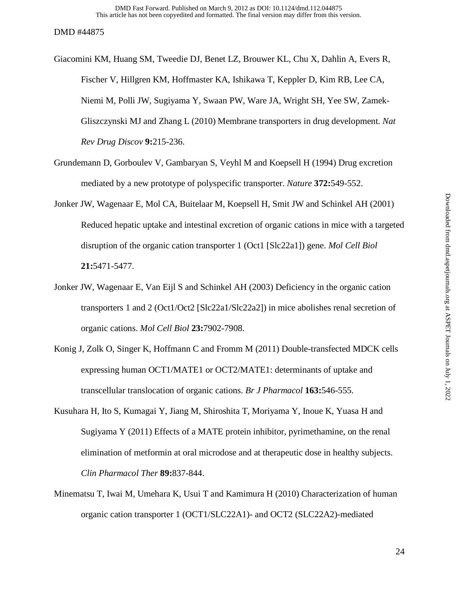- Giacomini KM, Huang SM, Tweedie DJ, Benet LZ, Brouwer KL, Chu X, Dahlin A, Evers R, Fischer V, Hillgren KM, Hoffmaster KA, Ishikawa T, Keppler D, Kim RB, Lee CA, Niemi M, Polli JW, Sugiyama Y, Swaan PW, Ware JA, Wright SH, Yee SW, Zamek-Gliszczynski MJ and Zhang L (2010) Membrane transporters in drug development. *Nat Rev Drug Discov* **9:**215-236.
- Grundemann D, Gorboulev V, Gambaryan S, Veyhl M and Koepsell H (1994) Drug excretion mediated by a new prototype of polyspecific transporter. *Nature* **372:**549-552.
- Jonker JW, Wagenaar E, Mol CA, Buitelaar M, Koepsell H, Smit JW and Schinkel AH (2001) Reduced hepatic uptake and intestinal excretion of organic cations in mice with a targeted disruption of the organic cation transporter 1 (Oct1 [Slc22a1]) gene. *Mol Cell Biol* **21:**5471-5477.
- Jonker JW, Wagenaar E, Van Eijl S and Schinkel AH (2003) Deficiency in the organic cation transporters 1 and 2 (Oct1/Oct2 [Slc22a1/Slc22a2]) in mice abolishes renal secretion of organic cations. *Mol Cell Biol* **23:**7902-7908.
- Konig J, Zolk O, Singer K, Hoffmann C and Fromm M (2011) Double-transfected MDCK cells expressing human OCT1/MATE1 or OCT2/MATE1: determinants of uptake and transcellular translocation of organic cations. *Br J Pharmacol* **163:**546-555.
- Kusuhara H, Ito S, Kumagai Y, Jiang M, Shiroshita T, Moriyama Y, Inoue K, Yuasa H and Sugiyama Y (2011) Effects of a MATE protein inhibitor, pyrimethamine, on the renal elimination of metformin at oral microdose and at therapeutic dose in healthy subjects. *Clin Pharmacol Ther* **89:**837-844.
- Minematsu T, Iwai M, Umehara K, Usui T and Kamimura H (2010) Characterization of human organic cation transporter 1 (OCT1/SLC22A1)- and OCT2 (SLC22A2)-mediated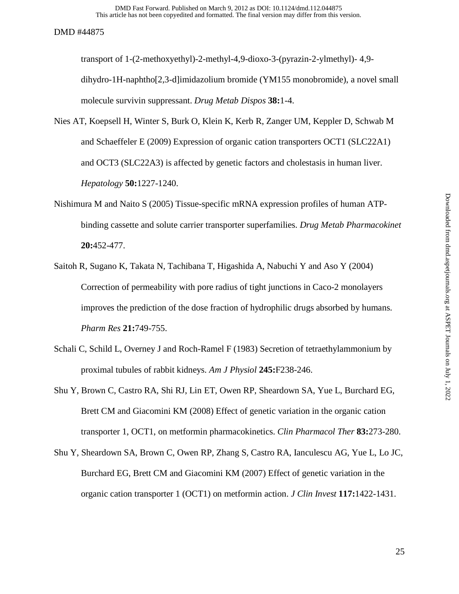transport of 1-(2-methoxyethyl)-2-methyl-4,9-dioxo-3-(pyrazin-2-ylmethyl)- 4,9 dihydro-1H-naphtho[2,3-d]imidazolium bromide (YM155 monobromide), a novel small molecule survivin suppressant. *Drug Metab Dispos* **38:**1-4.

- Nies AT, Koepsell H, Winter S, Burk O, Klein K, Kerb R, Zanger UM, Keppler D, Schwab M and Schaeffeler E (2009) Expression of organic cation transporters OCT1 (SLC22A1) and OCT3 (SLC22A3) is affected by genetic factors and cholestasis in human liver. *Hepatology* **50:**1227-1240.
- Nishimura M and Naito S (2005) Tissue-specific mRNA expression profiles of human ATPbinding cassette and solute carrier transporter superfamilies. *Drug Metab Pharmacokinet* **20:**452-477.
- Saitoh R, Sugano K, Takata N, Tachibana T, Higashida A, Nabuchi Y and Aso Y (2004) Correction of permeability with pore radius of tight junctions in Caco-2 monolayers improves the prediction of the dose fraction of hydrophilic drugs absorbed by humans. *Pharm Res* **21:**749-755.
- Schali C, Schild L, Overney J and Roch-Ramel F (1983) Secretion of tetraethylammonium by proximal tubules of rabbit kidneys. *Am J Physiol* **245:**F238-246.
- Shu Y, Brown C, Castro RA, Shi RJ, Lin ET, Owen RP, Sheardown SA, Yue L, Burchard EG, Brett CM and Giacomini KM (2008) Effect of genetic variation in the organic cation transporter 1, OCT1, on metformin pharmacokinetics. *Clin Pharmacol Ther* **83:**273-280.
- Shu Y, Sheardown SA, Brown C, Owen RP, Zhang S, Castro RA, Ianculescu AG, Yue L, Lo JC, Burchard EG, Brett CM and Giacomini KM (2007) Effect of genetic variation in the organic cation transporter 1 (OCT1) on metformin action. *J Clin Invest* **117:**1422-1431.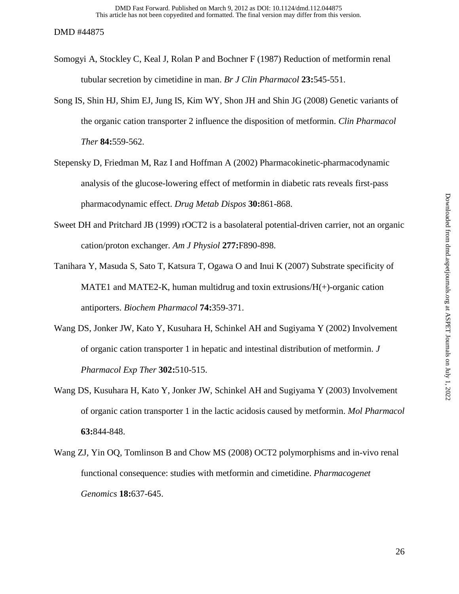- Somogyi A, Stockley C, Keal J, Rolan P and Bochner F (1987) Reduction of metformin renal tubular secretion by cimetidine in man. *Br J Clin Pharmacol* **23:**545-551.
- Song IS, Shin HJ, Shim EJ, Jung IS, Kim WY, Shon JH and Shin JG (2008) Genetic variants of the organic cation transporter 2 influence the disposition of metformin. *Clin Pharmacol Ther* **84:**559-562.
- Stepensky D, Friedman M, Raz I and Hoffman A (2002) Pharmacokinetic-pharmacodynamic analysis of the glucose-lowering effect of metformin in diabetic rats reveals first-pass pharmacodynamic effect. *Drug Metab Dispos* **30:**861-868.
- Sweet DH and Pritchard JB (1999) rOCT2 is a basolateral potential-driven carrier, not an organic cation/proton exchanger. *Am J Physiol* **277:**F890-898.
- Tanihara Y, Masuda S, Sato T, Katsura T, Ogawa O and Inui K (2007) Substrate specificity of MATE1 and MATE2-K, human multidrug and toxin extrusions/ $H(+)$ -organic cation antiporters. *Biochem Pharmacol* **74:**359-371.
- Wang DS, Jonker JW, Kato Y, Kusuhara H, Schinkel AH and Sugiyama Y (2002) Involvement of organic cation transporter 1 in hepatic and intestinal distribution of metformin. *J Pharmacol Exp Ther* **302:**510-515.
- Wang DS, Kusuhara H, Kato Y, Jonker JW, Schinkel AH and Sugiyama Y (2003) Involvement of organic cation transporter 1 in the lactic acidosis caused by metformin. *Mol Pharmacol* **63:**844-848.
- Wang ZJ, Yin OQ, Tomlinson B and Chow MS (2008) OCT2 polymorphisms and in-vivo renal functional consequence: studies with metformin and cimetidine. *Pharmacogenet Genomics* **18:**637-645.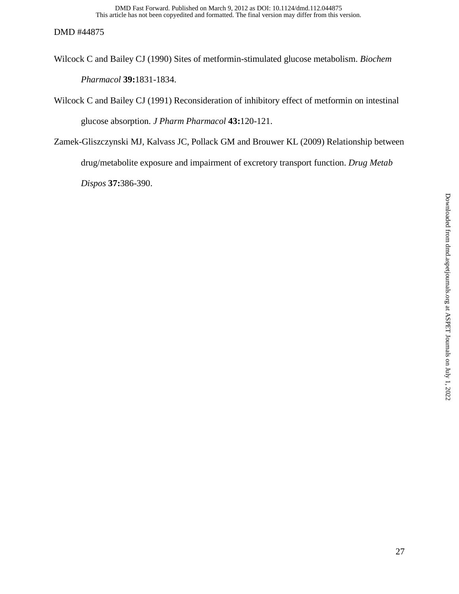- Wilcock C and Bailey CJ (1990) Sites of metformin-stimulated glucose metabolism. *Biochem Pharmacol* **39:**1831-1834.
- Wilcock C and Bailey CJ (1991) Reconsideration of inhibitory effect of metformin on intestinal glucose absorption. *J Pharm Pharmacol* **43:**120-121.
- Zamek-Gliszczynski MJ, Kalvass JC, Pollack GM and Brouwer KL (2009) Relationship between drug/metabolite exposure and impairment of excretory transport function. *Drug Metab Dispos* **37:**386-390.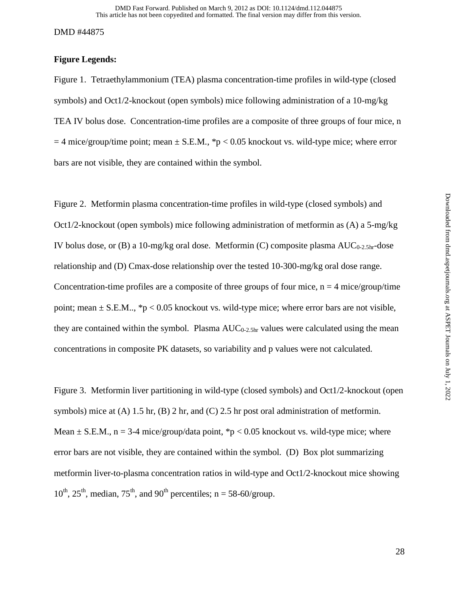# **Figure Legends:**

Figure 1. Tetraethylammonium (TEA) plasma concentration-time profiles in wild-type (closed symbols) and Oct1/2-knockout (open symbols) mice following administration of a 10-mg/kg TEA IV bolus dose. Concentration-time profiles are a composite of three groups of four mice, n  $=$  4 mice/group/time point; mean  $\pm$  S.E.M., \*p < 0.05 knockout vs. wild-type mice; where error bars are not visible, they are contained within the symbol.

Figure 2. Metformin plasma concentration-time profiles in wild-type (closed symbols) and Oct1/2-knockout (open symbols) mice following administration of metformin as (A) a 5-mg/kg IV bolus dose, or (B) a 10-mg/kg oral dose. Metformin (C) composite plasma  $AUC_{0.2.5hr}$ -dose relationship and (D) Cmax-dose relationship over the tested 10-300-mg/kg oral dose range. Concentration-time profiles are a composite of three groups of four mice,  $n = 4$  mice/group/time point; mean  $\pm$  S.E.M.., \*p < 0.05 knockout vs. wild-type mice; where error bars are not visible, they are contained within the symbol. Plasma  $AUC_{0-2.5hr}$  values were calculated using the mean concentrations in composite PK datasets, so variability and p values were not calculated.

Figure 3. Metformin liver partitioning in wild-type (closed symbols) and Oct1/2-knockout (open symbols) mice at (A) 1.5 hr, (B) 2 hr, and (C) 2.5 hr post oral administration of metformin. Mean  $\pm$  S.E.M., n = 3-4 mice/group/data point, \*p < 0.05 knockout vs. wild-type mice; where error bars are not visible, they are contained within the symbol. (D) Box plot summarizing metformin liver-to-plasma concentration ratios in wild-type and Oct1/2-knockout mice showing  $10^{th}$ ,  $25^{th}$ , median,  $75^{th}$ , and  $90^{th}$  percentiles; n = 58-60/group.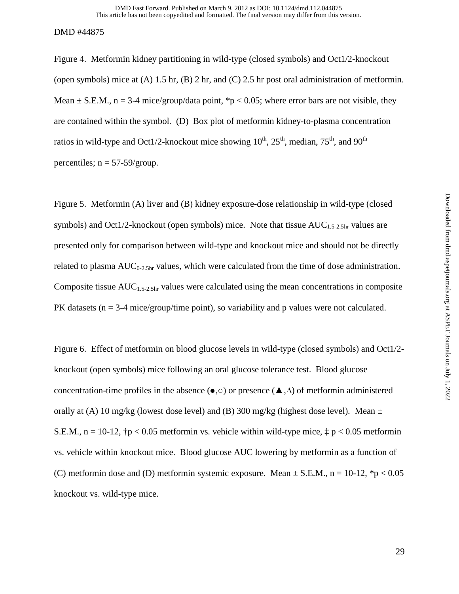Figure 4. Metformin kidney partitioning in wild-type (closed symbols) and Oct1/2-knockout (open symbols) mice at  $(A)$  1.5 hr,  $(B)$  2 hr, and  $(C)$  2.5 hr post oral administration of metformin. Mean  $\pm$  S.E.M., n = 3-4 mice/group/data point, \*p < 0.05; where error bars are not visible, they are contained within the symbol. (D) Box plot of metformin kidney-to-plasma concentration ratios in wild-type and Oct1/2-knockout mice showing  $10^{th}$ ,  $25^{th}$ , median,  $75^{th}$ , and  $90^{th}$ percentiles;  $n = 57-59/$ group.

Figure 5. Metformin (A) liver and (B) kidney exposure-dose relationship in wild-type (closed symbols) and Oct1/2-knockout (open symbols) mice. Note that tissue  $AUC_{1.5-2.5hr}$  values are presented only for comparison between wild-type and knockout mice and should not be directly related to plasma  $AUC_{0-2.5hr}$  values, which were calculated from the time of dose administration. Composite tissue  $AUC_{1.5-2.5hr}$  values were calculated using the mean concentrations in composite PK datasets ( $n = 3-4$  mice/group/time point), so variability and p values were not calculated.

Figure 6. Effect of metformin on blood glucose levels in wild-type (closed symbols) and Oct1/2 knockout (open symbols) mice following an oral glucose tolerance test. Blood glucose concentration-time profiles in the absence (●,○) or presence (▲,∆) of metformin administered orally at (A) 10 mg/kg (lowest dose level) and (B) 300 mg/kg (highest dose level). Mean  $\pm$ S.E.M.,  $n = 10-12$ ,  $\uparrow p < 0.05$  metformin vs. vehicle within wild-type mice,  $\uparrow p < 0.05$  metformin vs. vehicle within knockout mice. Blood glucose AUC lowering by metformin as a function of (C) metformin dose and (D) metformin systemic exposure. Mean  $\pm$  S.E.M., n = 10-12, \*p < 0.05 knockout vs. wild-type mice.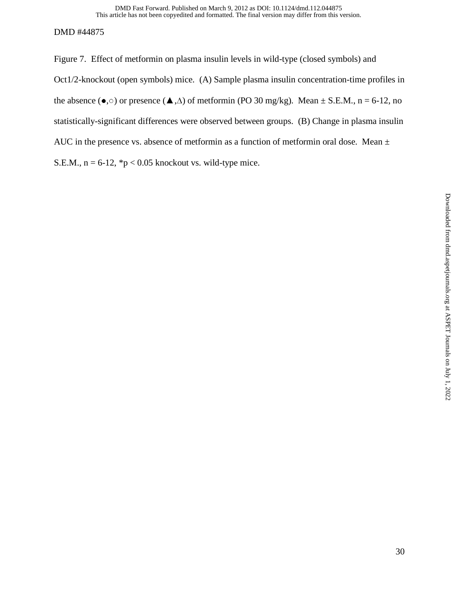Figure 7. Effect of metformin on plasma insulin levels in wild-type (closed symbols) and Oct1/2-knockout (open symbols) mice. (A) Sample plasma insulin concentration-time profiles in the absence ( $\bullet$ , o) or presence ( $\blacktriangle$ ,  $\triangle$ ) of metformin (PO 30 mg/kg). Mean  $\pm$  S.E.M., n = 6-12, no statistically-significant differences were observed between groups. (B) Change in plasma insulin AUC in the presence vs. absence of metformin as a function of metformin oral dose. Mean  $\pm$ S.E.M.,  $n = 6-12$ , \*p < 0.05 knockout vs. wild-type mice.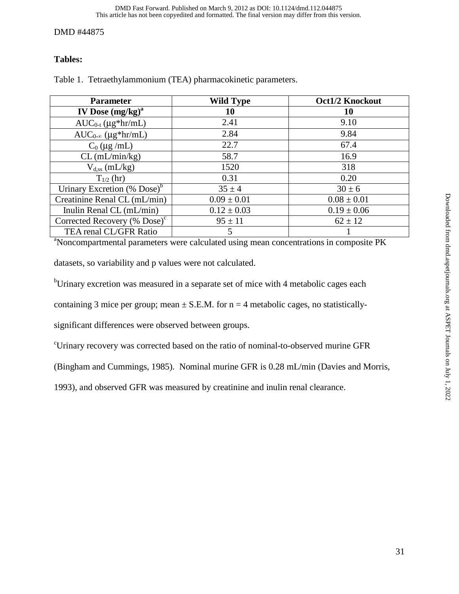# **Tables:**

| <b>Parameter</b>                                                                                   | <b>Wild Type</b> | <b>Oct1/2 Knockout</b> |  |
|----------------------------------------------------------------------------------------------------|------------------|------------------------|--|
| IV Dose $(mg/kg)^a$                                                                                | 10               | 10                     |  |
| $AUC_{0-t} (\mu g*hr/mL)$                                                                          | 2.41             | 9.10                   |  |
| $AUC_{0-\infty}$ (µg*hr/mL)                                                                        | 2.84             | 9.84                   |  |
| $C_0$ (µg /mL)                                                                                     | 22.7             | 67.4                   |  |
| $CL$ (mL/min/kg)                                                                                   | 58.7             | 16.9                   |  |
| $V_{d,ss}$ (mL/kg)                                                                                 | 1520             | 318                    |  |
| $T_{1/2}$ (hr)                                                                                     | 0.31             | 0.20                   |  |
| Urinary Excretion $(\%$ Dose) <sup>b</sup>                                                         | $35 \pm 4$       | $30 \pm 6$             |  |
| Creatinine Renal CL (mL/min)                                                                       | $0.09 \pm 0.01$  | $0.08 \pm 0.01$        |  |
| Inulin Renal CL (mL/min)                                                                           | $0.12 \pm 0.03$  | $0.19 \pm 0.06$        |  |
| Corrected Recovery (% Dose) $\text{c}$                                                             | $95 \pm 11$      | $62 \pm 12$            |  |
| TEA renal CL/GFR Ratio                                                                             | 5                |                        |  |
| <sup>a</sup> Noncompartmental parameters were calculated using mean concentrations in composite PK |                  |                        |  |

Table 1. Tetraethylammonium (TEA) pharmacokinetic parameters.

datasets, so variability and p values were not calculated.

<sup>b</sup>Urinary excretion was measured in a separate set of mice with 4 metabolic cages each

containing 3 mice per group; mean  $\pm$  S.E.M. for n = 4 metabolic cages, no statistically-

significant differences were observed between groups.

c Urinary recovery was corrected based on the ratio of nominal-to-observed murine GFR

(Bingham and Cummings, 1985). Nominal murine GFR is 0.28 mL/min (Davies and Morris,

1993), and observed GFR was measured by creatinine and inulin renal clearance.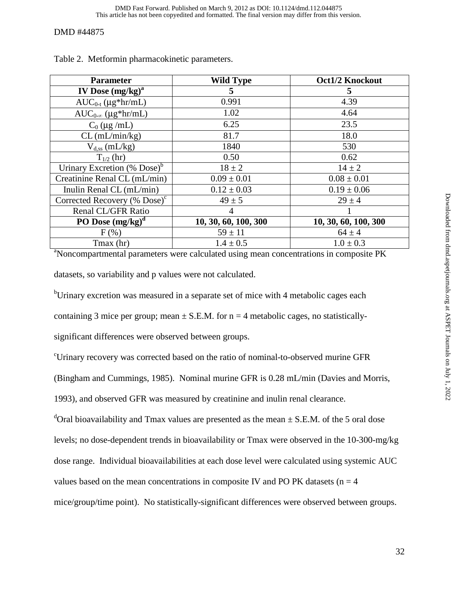| <b>Parameter</b>                                                                                   | <b>Wild Type</b>     | <b>Oct1/2 Knockout</b> |  |
|----------------------------------------------------------------------------------------------------|----------------------|------------------------|--|
| IV Dose $(mg/kg)^a$                                                                                | 5                    | 5                      |  |
| $AUC_{0-t} (\mu g*hr/mL)$                                                                          | 0.991                | 4.39                   |  |
| $AUC_{0-\infty}$ (µg*hr/mL)                                                                        | 1.02                 | 4.64                   |  |
| $C_0$ (µg /mL)                                                                                     | 6.25                 | 23.5                   |  |
| $CL$ (mL/min/kg)                                                                                   | 81.7                 | 18.0                   |  |
| $V_{d,ss}$ (mL/kg)                                                                                 | 1840                 | 530                    |  |
| $T_{1/2}$ (hr)                                                                                     | 0.50                 | 0.62                   |  |
| Urinary Excretion (% Dose) $b$                                                                     | $18 \pm 2$           | $14 \pm 2$             |  |
| Creatinine Renal CL (mL/min)                                                                       | $0.09 \pm 0.01$      | $0.08 \pm 0.01$        |  |
| Inulin Renal CL (mL/min)                                                                           | $0.12 \pm 0.03$      | $0.19 \pm 0.06$        |  |
| Corrected Recovery (% $Dose$ ) <sup>c</sup>                                                        | $49 \pm 5$           | $29 \pm 4$             |  |
| Renal CL/GFR Ratio                                                                                 | 4                    |                        |  |
| PO Dose $(mg/kg)^d$                                                                                | 10, 30, 60, 100, 300 | 10, 30, 60, 100, 300   |  |
| $F(\%)$                                                                                            | $59 \pm 11$          | $64 \pm 4$             |  |
| Tmax (hr)                                                                                          | $1.4 \pm 0.5$        | $1.0 \pm 0.3$          |  |
| <sup>a</sup> Noncompartmental parameters were calculated using mean concentrations in composite PK |                      |                        |  |

Table 2. Metformin pharmacokinetic parameters.

datasets, so variability and p values were not calculated.

<sup>b</sup>Urinary excretion was measured in a separate set of mice with 4 metabolic cages each

containing 3 mice per group; mean  $\pm$  S.E.M. for n = 4 metabolic cages, no statistically-

significant differences were observed between groups.

c Urinary recovery was corrected based on the ratio of nominal-to-observed murine GFR

(Bingham and Cummings, 1985). Nominal murine GFR is 0.28 mL/min (Davies and Morris,

1993), and observed GFR was measured by creatinine and inulin renal clearance.

<sup>d</sup>Oral bioavailability and Tmax values are presented as the mean  $\pm$  S.E.M. of the 5 oral dose

levels; no dose-dependent trends in bioavailability or Tmax were observed in the 10-300-mg/kg

dose range. Individual bioavailabilities at each dose level were calculated using systemic AUC

values based on the mean concentrations in composite IV and PO PK datasets ( $n = 4$ )

mice/group/time point). No statistically-significant differences were observed between groups.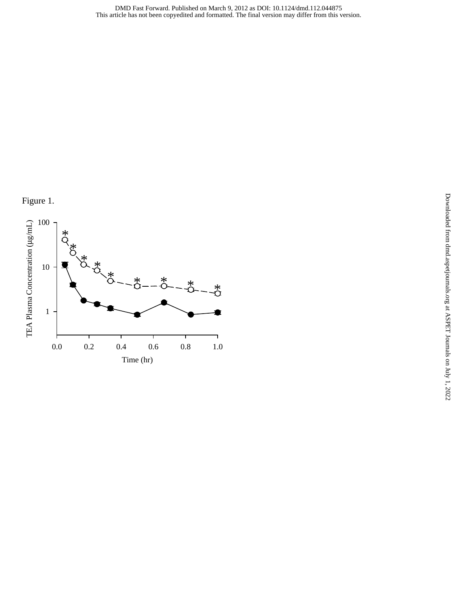

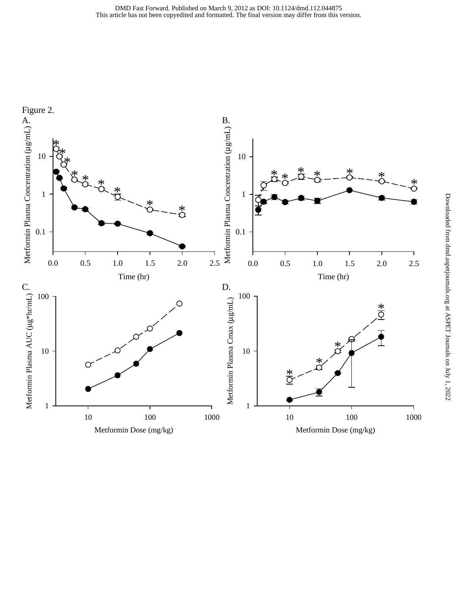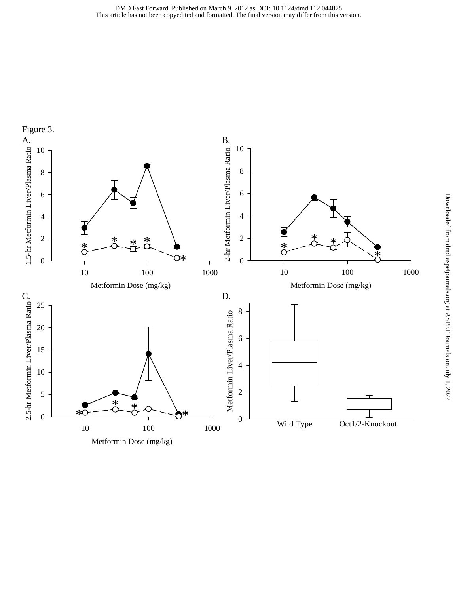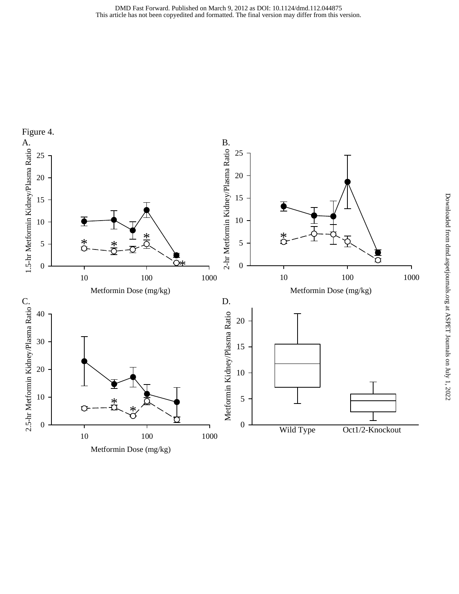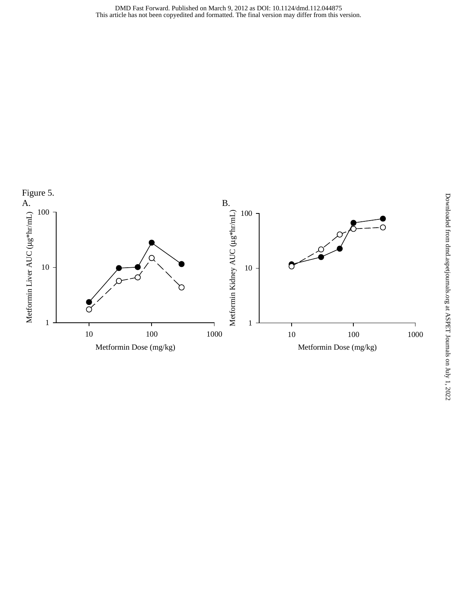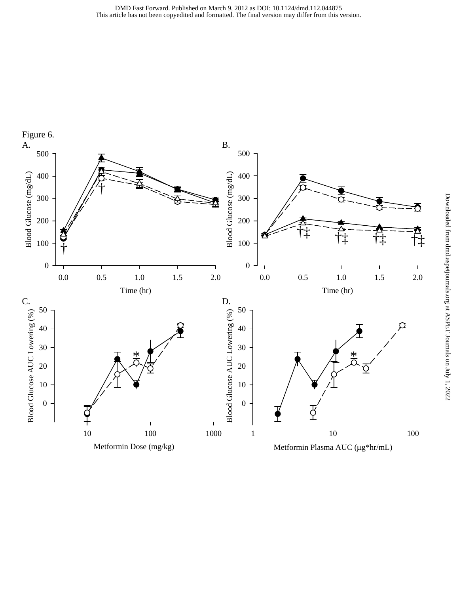